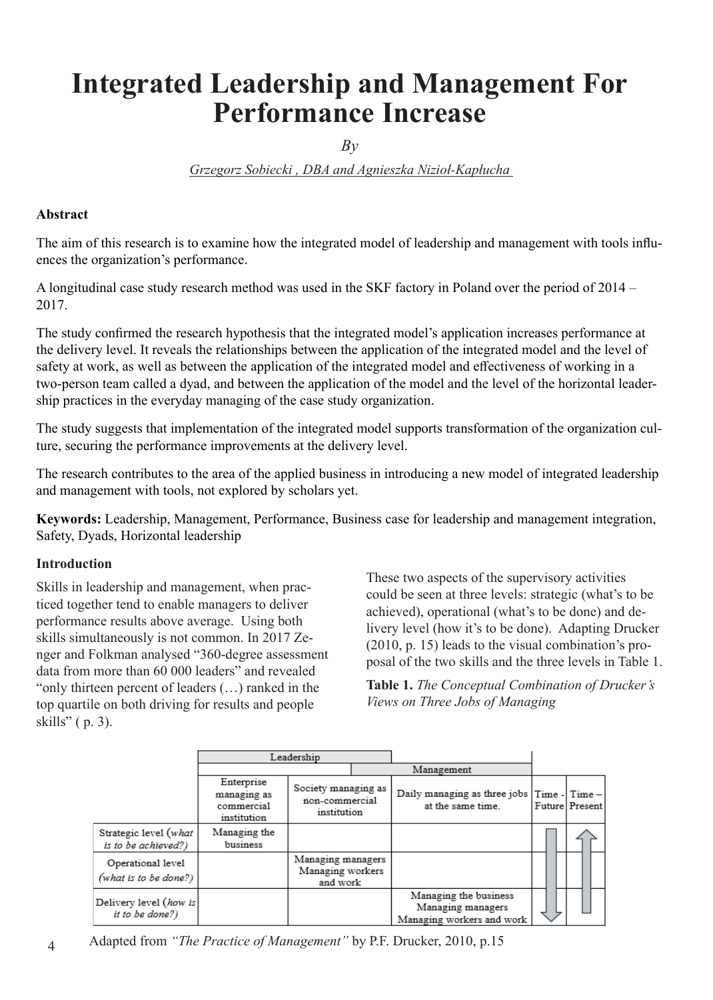# **Integrated Leadership and Management For Performance Increase**

 $Bv$ 

*Grzegorz Sobiecki , DBA and Agnieszka Nizioł-Kapłucha* 

#### **Abstract**

The aim of this research is to examine how the integrated model of leadership and management with tools influences the organization's performance.

A longitudinal case study research method was used in the SKF factory in Poland over the period of 2014 – 2017.

The study confirmed the research hypothesis that the integrated model's application increases performance at the delivery level. It reveals the relationships between the application of the integrated model and the level of safety at work, as well as between the application of the integrated model and effectiveness of working in a two-person team called a dyad, and between the application of the model and the level of the horizontal leadership practices in the everyday managing of the case study organization.

The study suggests that implementation of the integrated model supports transformation of the organization culture, securing the performance improvements at the delivery level.

The research contributes to the area of the applied business in introducing a new model of integrated leadership and management with tools, not explored by scholars yet.

**Keywords:** Leadership, Management, Performance, Business case for leadership and management integration, Safety, Dyads, Horizontal leadership

#### **Introduction**

Skills in leadership and management, when practiced together tend to enable managers to deliver performance results above average. Using both skills simultaneously is not common. In 2017 Zenger and Folkman analysed "360-degree assessment data from more than 60 000 leaders" and revealed "only thirteen percent of leaders (…) ranked in the top quartile on both driving for results and people skills" ( p. 3).

These two aspects of the supervisory activities could be seen at three levels: strategic (what's to be achieved), operational (what's to be done) and delivery level (how it's to be done). Adapting Drucker (2010, p. 15) leads to the visual combination's proposal of the two skills and the three levels in Table 1.

**Table 1.** *The Conceptual Combination of Drucker's Views on Three Jobs of Managing*

|                                              | Leadership                                             |                                                      |  |                                                                         |                |
|----------------------------------------------|--------------------------------------------------------|------------------------------------------------------|--|-------------------------------------------------------------------------|----------------|
|                                              |                                                        |                                                      |  | Management                                                              |                |
|                                              | Enterprise<br>managing as<br>commercial<br>institution | Society managing as<br>non-commercial<br>institution |  | Daily managing as three jobs Time - Time -<br>at the same time.         | Future Present |
| Strategic level (what<br>is to be achieved?) | Managing the<br>business                               |                                                      |  |                                                                         |                |
| Operational level<br>(what is to be done?)   |                                                        | Managing managers<br>Managing workers<br>and work    |  |                                                                         |                |
| Delivery level (how is<br>it to be done?)    |                                                        |                                                      |  | Managing the business<br>Managing managers<br>Managing workers and work |                |

Adapted from *"The Practice of Management"* by P.F. Drucker, 2010, p.15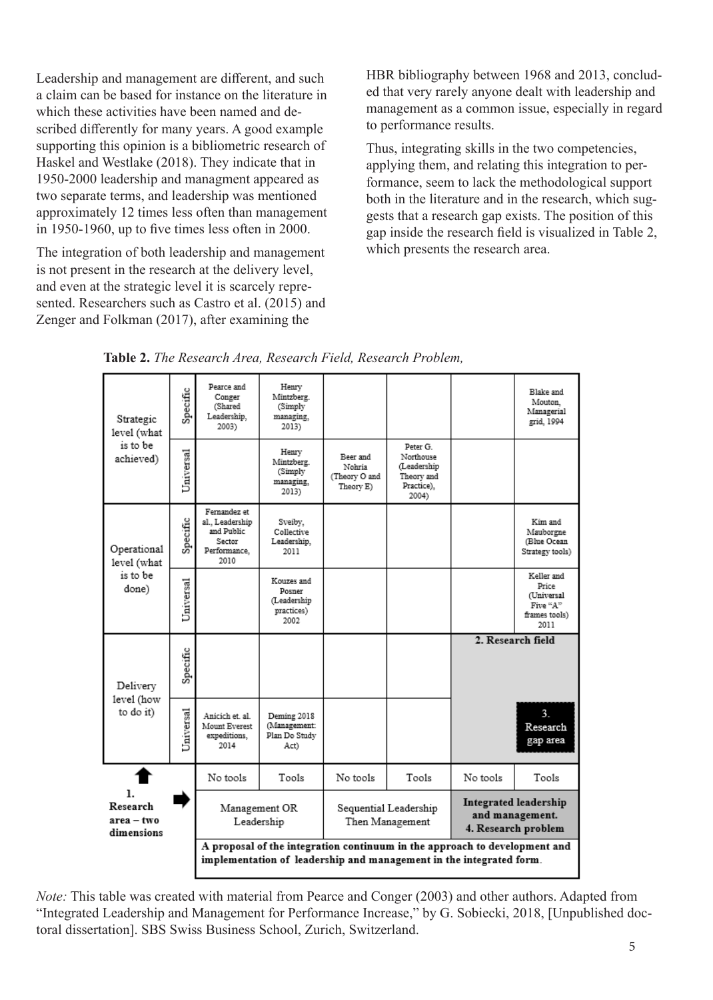Leadership and management are different, and such a claim can be based for instance on the literature in which these activities have been named and described differently for many years. A good example supporting this opinion is a bibliometric research of Haskel and Westlake (2018). They indicate that in 1950-2000 leadership and managment appeared as two separate terms, and leadership was mentioned approximately 12 times less often than management in 1950-1960, up to five times less often in 2000.

The integration of both leadership and management is not present in the research at the delivery level, and even at the strategic level it is scarcely represented. Researchers such as Castro et al. (2015) and Zenger and Folkman (2017), after examining the

HBR bibliography between 1968 and 2013, concluded that very rarely anyone dealt with leadership and management as a common issue, especially in regard to performance results.

Thus, integrating skills in the two competencies, applying them, and relating this integration to performance, seem to lack the methodological support both in the literature and in the research, which suggests that a research gap exists. The position of this gap inside the research field is visualized in Table 2, which presents the research area.



**Table 2.** *The Research Area, Research Field, Research Problem,* 

*Note:* This table was created with material from Pearce and Conger (2003) and other authors. Adapted from "Integrated Leadership and Management for Performance Increase," by G. Sobiecki, 2018, [Unpublished doctoral dissertation]. SBS Swiss Business School, Zurich, Switzerland.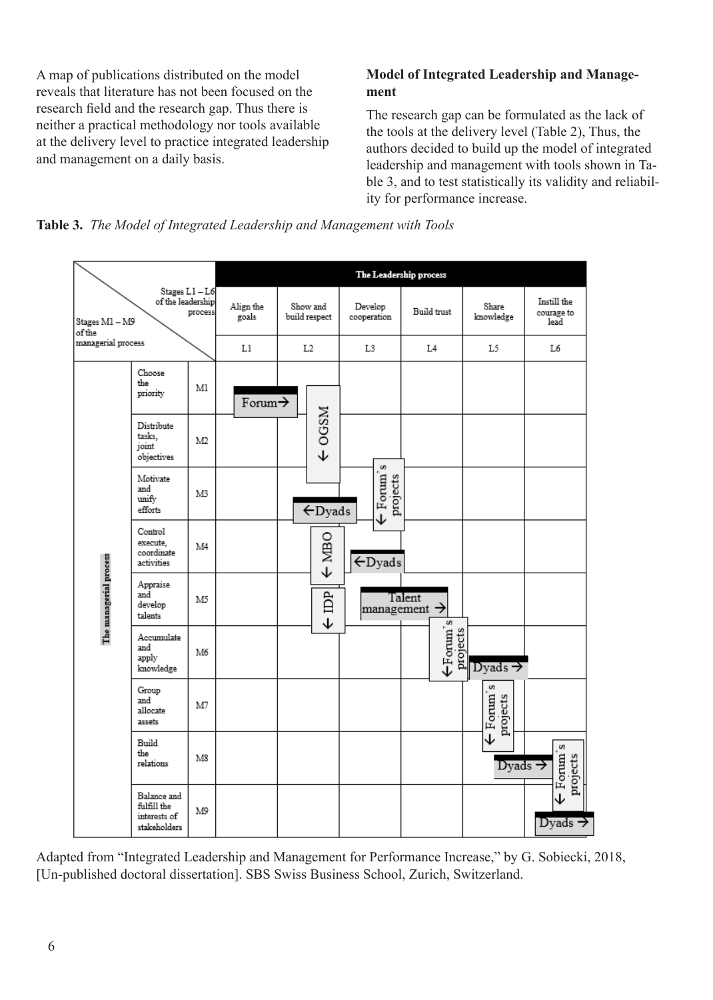A map of publications distributed on the model reveals that literature has not been focused on the research field and the research gap. Thus there is neither a practical methodology nor tools available at the delivery level to practice integrated leadership and management on a daily basis.

# **Model of Integrated Leadership and Management**

The research gap can be formulated as the lack of the tools at the delivery level (Table 2), Thus, the authors decided to build up the model of integrated leadership and management with tools shown in Table 3, and to test statistically its validity and reliability for performance increase.





Adapted from "Integrated Leadership and Management for Performance Increase," by G. Sobiecki, 2018, [Un-published doctoral dissertation]. SBS Swiss Business School, Zurich, Switzerland.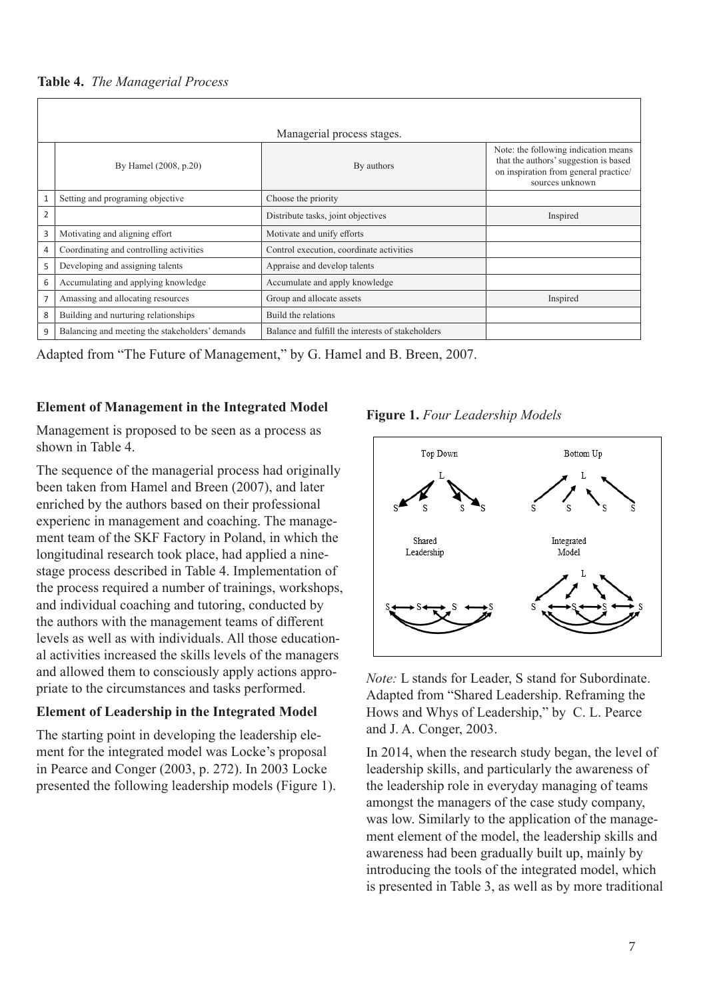**Table 4.** *The Managerial Process*

|              | Managerial process stages.                      |                                                   |                                                                                                                                           |  |  |  |  |  |  |
|--------------|-------------------------------------------------|---------------------------------------------------|-------------------------------------------------------------------------------------------------------------------------------------------|--|--|--|--|--|--|
|              | By Hamel (2008, p.20)                           | By authors                                        | Note: the following indication means<br>that the authors' suggestion is based<br>on inspiration from general practice/<br>sources unknown |  |  |  |  |  |  |
| $\mathbf{1}$ | Setting and programing objective                | Choose the priority                               |                                                                                                                                           |  |  |  |  |  |  |
| 2            |                                                 | Distribute tasks, joint objectives                | Inspired                                                                                                                                  |  |  |  |  |  |  |
| 3            | Motivating and aligning effort                  | Motivate and unify efforts                        |                                                                                                                                           |  |  |  |  |  |  |
| 4            | Coordinating and controlling activities         | Control execution, coordinate activities          |                                                                                                                                           |  |  |  |  |  |  |
| 5            | Developing and assigning talents                | Appraise and develop talents                      |                                                                                                                                           |  |  |  |  |  |  |
| 6            | Accumulating and applying knowledge             | Accumulate and apply knowledge                    |                                                                                                                                           |  |  |  |  |  |  |
| 7            | Amassing and allocating resources               | Group and allocate assets                         | Inspired                                                                                                                                  |  |  |  |  |  |  |
| 8            | Building and nurturing relationships            | Build the relations                               |                                                                                                                                           |  |  |  |  |  |  |
| 9            | Balancing and meeting the stakeholders' demands | Balance and fulfill the interests of stakeholders |                                                                                                                                           |  |  |  |  |  |  |

Adapted from "The Future of Management," by G. Hamel and B. Breen, 2007.

#### **Element of Management in the Integrated Model**

Management is proposed to be seen as a process as shown in Table 4.

The sequence of the managerial process had originally been taken from Hamel and Breen (2007), and later enriched by the authors based on their professional experienc in management and coaching. The management team of the SKF Factory in Poland, in which the longitudinal research took place, had applied a ninestage process described in Table 4. Implementation of the process required a number of trainings, workshops, and individual coaching and tutoring, conducted by the authors with the management teams of different levels as well as with individuals. All those educational activities increased the skills levels of the managers and allowed them to consciously apply actions appropriate to the circumstances and tasks performed.

#### **Element of Leadership in the Integrated Model**

The starting point in developing the leadership element for the integrated model was Locke's proposal in Pearce and Conger (2003, p. 272). In 2003 Locke presented the following leadership models (Figure 1).





*Note:* L stands for Leader, S stand for Subordinate. Adapted from "Shared Leadership. Reframing the Hows and Whys of Leadership," by C. L. Pearce and J. A. Conger, 2003.

In 2014, when the research study began, the level of leadership skills, and particularly the awareness of the leadership role in everyday managing of teams amongst the managers of the case study company, was low. Similarly to the application of the management element of the model, the leadership skills and awareness had been gradually built up, mainly by introducing the tools of the integrated model, which is presented in Table 3, as well as by more traditional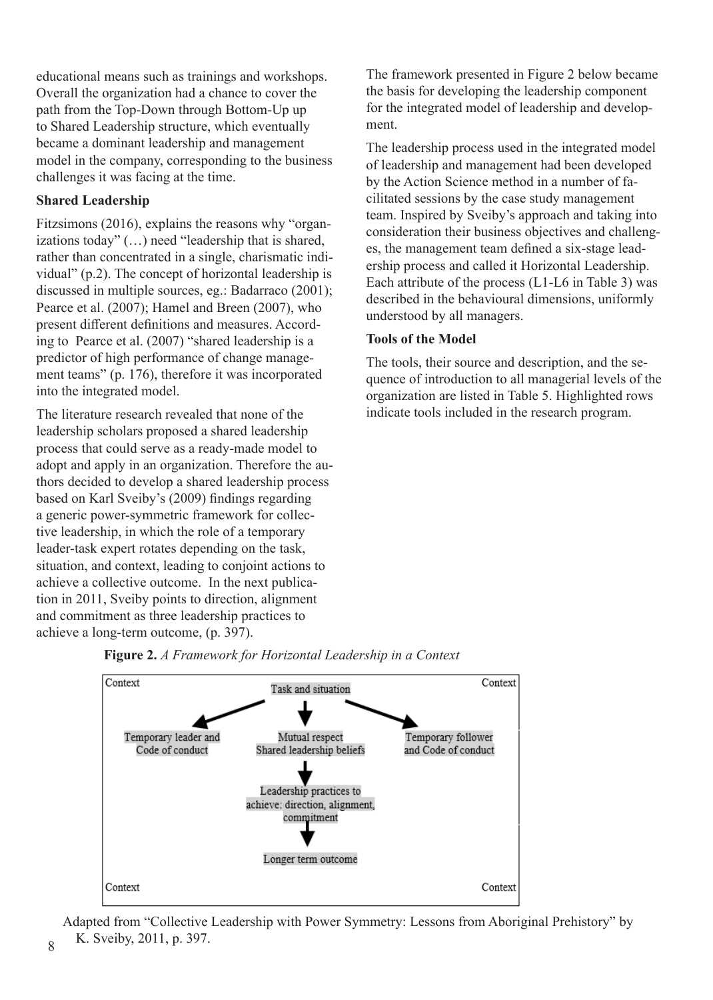educational means such as trainings and workshops. Overall the organization had a chance to cover the path from the Top-Down through Bottom-Up up to Shared Leadership structure, which eventually became a dominant leadership and management model in the company, corresponding to the business challenges it was facing at the time.

# **Shared Leadership**

Fitzsimons (2016), explains the reasons why "organizations today" (…) need "leadership that is shared, rather than concentrated in a single, charismatic individual" (p.2). The concept of horizontal leadership is discussed in multiple sources, eg.: Badarraco (2001); Pearce et al. (2007); Hamel and Breen (2007), who present different definitions and measures. According to Pearce et al. (2007) "shared leadership is a predictor of high performance of change management teams" (p. 176), therefore it was incorporated into the integrated model.

The literature research revealed that none of the leadership scholars proposed a shared leadership process that could serve as a ready-made model to adopt and apply in an organization. Therefore the authors decided to develop a shared leadership process based on Karl Sveiby's (2009) findings regarding a generic power-symmetric framework for collective leadership, in which the role of a temporary leader-task expert rotates depending on the task, situation, and context, leading to conjoint actions to achieve a collective outcome. In the next publication in 2011, Sveiby points to direction, alignment and commitment as three leadership practices to achieve a long-term outcome, (p. 397).

The framework presented in Figure 2 below became the basis for developing the leadership component for the integrated model of leadership and development.

The leadership process used in the integrated model of leadership and management had been developed by the Action Science method in a number of facilitated sessions by the case study management team. Inspired by Sveiby's approach and taking into consideration their business objectives and challenges, the management team defined a six-stage leadership process and called it Horizontal Leadership. Each attribute of the process (L1-L6 in Table 3) was described in the behavioural dimensions, uniformly understood by all managers.

# **Tools of the Model**

The tools, their source and description, and the sequence of introduction to all managerial levels of the organization are listed in Table 5. Highlighted rows indicate tools included in the research program.





Adapted from "Collective Leadership with Power Symmetry: Lessons from Aboriginal Prehistory" by K. Sveiby, 2011, p. 397.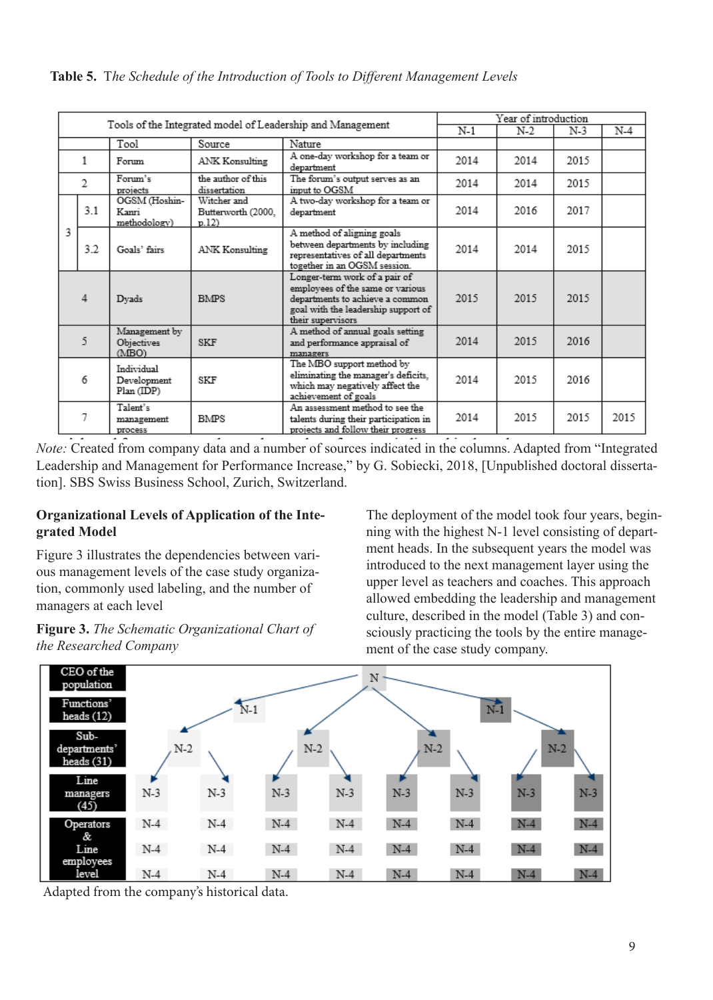|                          | Tools of the Integrated model of Leadership and Management |                                         |                                           |                                                                                                                                                                  | Year of introduction |      |       |      |  |
|--------------------------|------------------------------------------------------------|-----------------------------------------|-------------------------------------------|------------------------------------------------------------------------------------------------------------------------------------------------------------------|----------------------|------|-------|------|--|
|                          |                                                            |                                         |                                           | N-1                                                                                                                                                              | N-2                  | N-3  | $N-4$ |      |  |
|                          |                                                            | Tool                                    | Source                                    | Nature                                                                                                                                                           |                      |      |       |      |  |
|                          | 1<br>Forum                                                 |                                         | ANK Konsulting                            | A one-day workshop for a team or<br>department                                                                                                                   | 2014                 | 2014 | 2015  |      |  |
|                          | 2                                                          | Forum's<br>projects                     | the author of this<br>dissertation        | The forum's output serves as an<br>input to OGSM                                                                                                                 | 2014                 | 2014 | 2015  |      |  |
|                          | 3.1                                                        | OGSM (Hoshin-<br>Kanri<br>methodology)  | Witcher and<br>Butterworth (2000,<br>p.12 | A two-day workshop for a team or<br>department                                                                                                                   | 2014                 | 2016 | 2017  |      |  |
| 3                        | 3.2                                                        | Goals' fairs                            | ANK Konsulting                            | A method of aligning goals<br>between departments by including<br>representatives of all departments<br>together in an OGSM session.                             | 2014                 | 2014 | 2015  |      |  |
|                          | 4                                                          | Dyads                                   | <b>BMPS</b>                               | Longer-term work of a pair of<br>employees of the same or various<br>departments to achieve a common<br>goal with the leadership support of<br>their supervisors | 2015                 | 2015 | 2015  |      |  |
|                          | 5                                                          | Management by<br>Objectives<br>(MBO)    | SKF                                       | A method of annual goals setting<br>and performance appraisal of<br>managers                                                                                     | 2014                 | 2015 | 2016  |      |  |
|                          | 6                                                          | Individual<br>Development<br>Plan (IDP) | SKF                                       | The MBO support method by<br>eliminating the manager's deficits.<br>which may negatively affect the<br>achievement of goals                                      | 2014                 | 2015 | 2016  |      |  |
| Talent's<br>7<br>process |                                                            | management                              | <b>BMPS</b>                               | An assessment method to see the<br>talents during their participation in<br>projects and follow their progress                                                   | 2014                 | 2015 | 2015  | 2015 |  |

*Note:* Created from company data and a number of sources indicated in the columns. Adapted from "Integrated Leadership and Management for Performance Increase," by G. Sobiecki, 2018, [Unpublished doctoral dissertation]. SBS Swiss Business School, Zurich, Switzerland.

#### **Organizational Levels of Application of the Integrated Model**

Figure 3 illustrates the dependencies between various management levels of the case study organization, commonly used labeling, and the number of managers at each level

**Figure 3.** *The Schematic Organizational Chart of the Researched Company* 

The deployment of the model took four years, beginning with the highest N-1 level consisting of department heads. In the subsequent years the model was introduced to the next management layer using the upper level as teachers and coaches. This approach allowed embedding the leadership and management culture, described in the model (Table 3) and consciously practicing the tools by the entire management of the case study company.



Adapted from the company's historical data.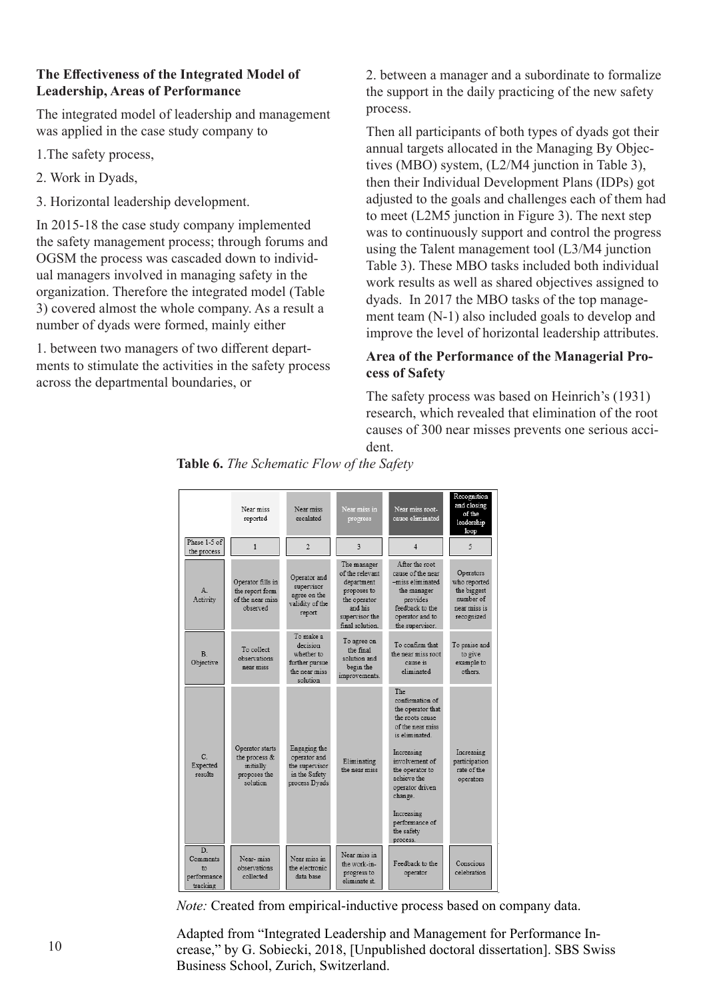## **The Effectiveness of the Integrated Model of Leadership, Areas of Performance**

The integrated model of leadership and management was applied in the case study company to

- 1.The safety process,
- 2. Work in Dyads,
- 3. Horizontal leadership development.

In 2015-18 the case study company implemented the safety management process; through forums and OGSM the process was cascaded down to individual managers involved in managing safety in the organization. Therefore the integrated model (Table 3) covered almost the whole company. As a result a number of dyads were formed, mainly either

1. between two managers of two different departments to stimulate the activities in the safety process across the departmental boundaries, or

2. between a manager and a subordinate to formalize the support in the daily practicing of the new safety process.

Then all participants of both types of dyads got their annual targets allocated in the Managing By Objectives (MBO) system, (L2/M4 junction in Table 3), then their Individual Development Plans (IDPs) got adjusted to the goals and challenges each of them had to meet (L2M5 junction in Figure 3). The next step was to continuously support and control the progress using the Talent management tool (L3/M4 junction Table 3). These MBO tasks included both individual work results as well as shared objectives assigned to dyads. In 2017 the MBO tasks of the top management team (N-1) also included goals to develop and improve the level of horizontal leadership attributes.

# **Area of the Performance of the Managerial Process of Safety**

The safety process was based on Heinrich's (1931) research, which revealed that elimination of the root causes of 300 near misses prevents one serious accident.



**Table 6.** *The Schematic Flow of the Safety* 

*Note:* Created from empirical-inductive process based on company data.

Adapted from "Integrated Leadership and Management for Performance Increase," by G. Sobiecki, 2018, [Unpublished doctoral dissertation]. SBS Swiss Business School, Zurich, Switzerland.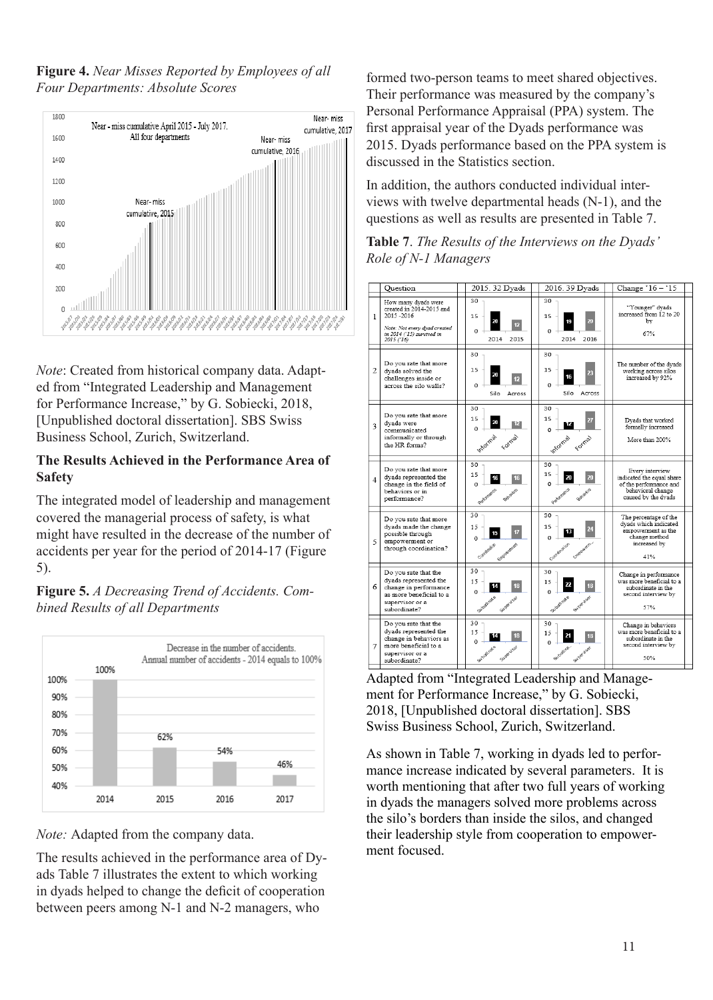**Figure 4.** *Near Misses Reported by Employees of all Four Departments: Absolute Scores*



*Note*: Created from historical company data. Adapted from "Integrated Leadership and Management for Performance Increase," by G. Sobiecki, 2018, [Unpublished doctoral dissertation]. SBS Swiss Business School, Zurich, Switzerland.

#### **The Results Achieved in the Performance Area of Safety**

The integrated model of leadership and management covered the managerial process of safety, is what might have resulted in the decrease of the number of accidents per year for the period of 2014-17 (Figure 5).

**Figure 5.** *A Decreasing Trend of Accidents. Combined Results of all Departments*



*Note:* Adapted from the company data.

The results achieved in the performance area of Dyads Table 7 illustrates the extent to which working in dyads helped to change the deficit of cooperation between peers among N-1 and N-2 managers, who

formed two-person teams to meet shared objectives. Their performance was measured by the company's Personal Performance Appraisal (PPA) system. The first appraisal year of the Dyads performance was 2015. Dyads performance based on the PPA system is discussed in the Statistics section.

In addition, the authors conducted individual interviews with twelve departmental heads (N-1), and the questions as well as results are presented in Table 7.

**Table 7**. *The Results of the Interviews on the Dyads' Role of N-1 Managers* 



Adapted from "Integrated Leadership and Management for Performance Increase," by G. Sobiecki, 2018, [Unpublished doctoral dissertation]. SBS Swiss Business School, Zurich, Switzerland.

As shown in Table 7, working in dyads led to performance increase indicated by several parameters. It is worth mentioning that after two full years of working in dyads the managers solved more problems across the silo's borders than inside the silos, and changed their leadership style from cooperation to empowerment focused.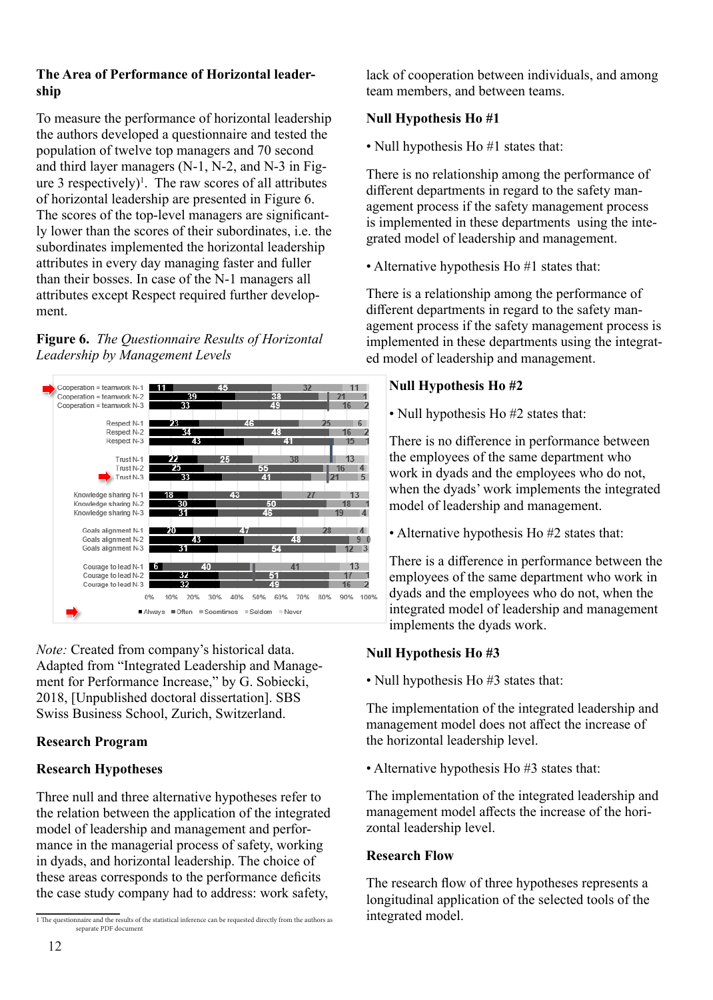## **The Area of Performance of Horizontal leadership**

To measure the performance of horizontal leadership the authors developed a questionnaire and tested the population of twelve top managers and 70 second and third layer managers (N-1, N-2, and N-3 in Figure 3 respectively)<sup>1</sup>. The raw scores of all attributes of horizontal leadership are presented in Figure 6. The scores of the top-level managers are significantly lower than the scores of their subordinates, i.e. the subordinates implemented the horizontal leadership attributes in every day managing faster and fuller than their bosses. In case of the N-1 managers all attributes except Respect required further development.

**Figure 6.** *The Questionnaire Results of Horizontal Leadership by Management Levels*



*Note:* Created from company's historical data. Adapted from "Integrated Leadership and Management for Performance Increase," by G. Sobiecki, 2018, [Unpublished doctoral dissertation]. SBS Swiss Business School, Zurich, Switzerland.

# **Research Program**

## **Research Hypotheses**

Three null and three alternative hypotheses refer to the relation between the application of the integrated model of leadership and management and performance in the managerial process of safety, working in dyads, and horizontal leadership. The choice of these areas corresponds to the performance deficits the case study company had to address: work safety,

lack of cooperation between individuals, and among team members, and between teams.

# **Null Hypothesis Ho #1**

• Null hypothesis Ho #1 states that:

There is no relationship among the performance of different departments in regard to the safety management process if the safety management process is implemented in these departments using the integrated model of leadership and management.

• Alternative hypothesis Ho #1 states that:

There is a relationship among the performance of different departments in regard to the safety management process if the safety management process is implemented in these departments using the integrated model of leadership and management.

# **Null Hypothesis Ho #2**

• Null hypothesis Ho #2 states that:

There is no difference in performance between the employees of the same department who work in dyads and the employees who do not, when the dyads' work implements the integrated model of leadership and management.

• Alternative hypothesis Ho #2 states that:

There is a difference in performance between the employees of the same department who work in dyads and the employees who do not, when the integrated model of leadership and management implements the dyads work.

# **Null Hypothesis Ho #3**

• Null hypothesis Ho #3 states that:

The implementation of the integrated leadership and management model does not affect the increase of the horizontal leadership level.

• Alternative hypothesis Ho #3 states that:

The implementation of the integrated leadership and management model affects the increase of the horizontal leadership level.

## **Research Flow**

The research flow of three hypotheses represents a longitudinal application of the selected tools of the integrated model.

<sup>1</sup> The questionnaire and the results of the statistical inference can be requested directly from the authors as separate PDF document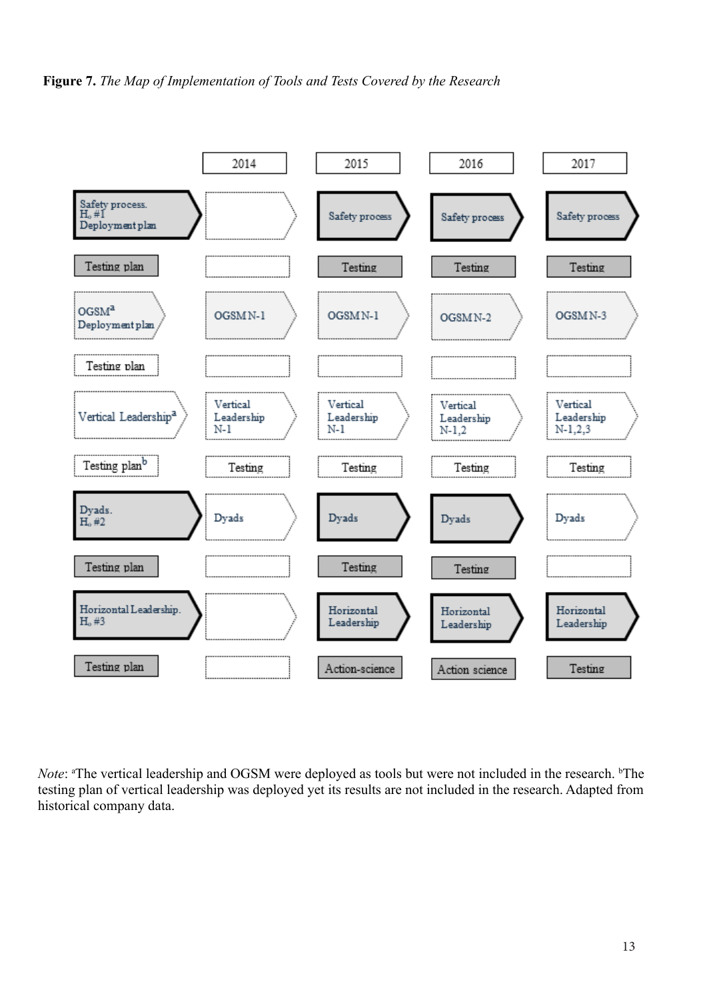



Note: <sup>a</sup>The vertical leadership and OGSM were deployed as tools but were not included in the research. <sup>b</sup>The testing plan of vertical leadership was deployed yet its results are not included in the research. Adapted from historical company data.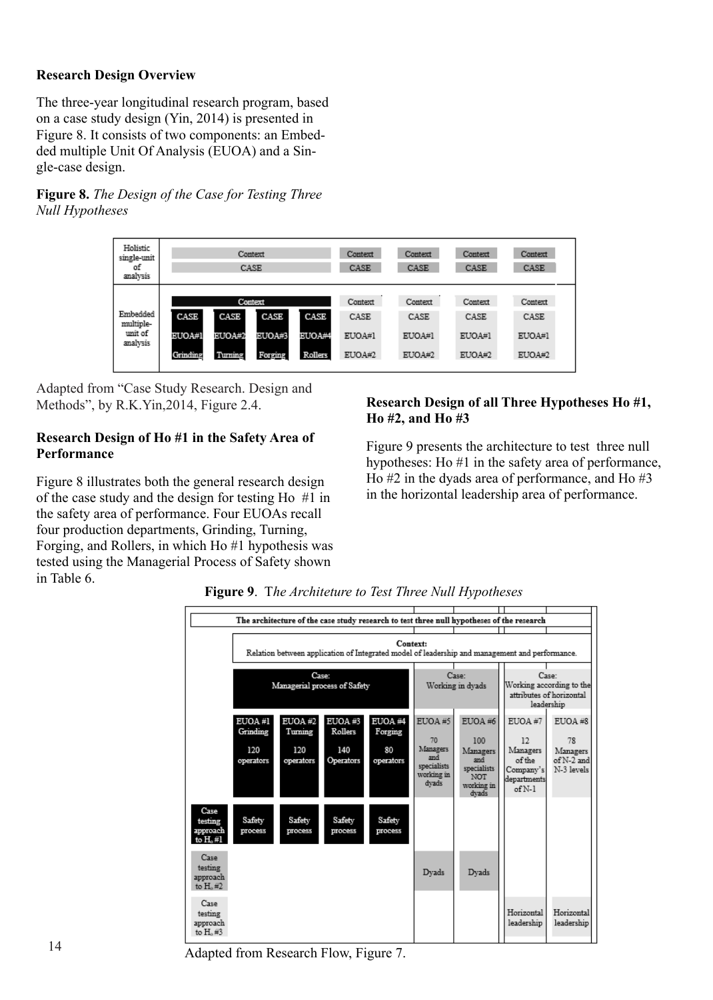# **Research Design Overview**

The three-year longitudinal research program, based on a case study design (Yin, 2014) is presented in Figure 8. It consists of two components: an Embedded multiple Unit Of Analysis (EUOA) and a Single-case design.

**Figure 8.** *The Design of the Case for Testing Three Null Hypotheses* 

| Holistic<br>single-unit<br>οf<br>analysis    | Context<br>CASE                                                                                                                            | Context<br>CASE                     | Context<br>CASE                     | Context<br>CASE                     | Context<br>CASE                     |
|----------------------------------------------|--------------------------------------------------------------------------------------------------------------------------------------------|-------------------------------------|-------------------------------------|-------------------------------------|-------------------------------------|
| Embedded<br>multiple-<br>unit of<br>analysis | Context<br>CASE<br>CASE<br>CASE<br>CASE<br><b>EUOA#1</b><br>EUOA#2<br>EUOA#3<br><b>EUOA#4</b><br>Grinding<br>Turning<br>Forging<br>Rollers | Context<br>CASE<br>EUOA#1<br>EUOA#2 | Context<br>CASE<br>EUOA#1<br>EUOA#2 | Context<br>CASE<br>EUOA#1<br>EUOA#2 | Context<br>CASE<br>EUOA#1<br>EUOA#2 |

Adapted from "Case Study Research. Design and Methods", by R.K.Yin,2014, Figure 2.4.

# **Research Design of Ho #1 in the Safety Area of Performance**

Figure 8 illustrates both the general research design of the case study and the design for testing Ho #1 in the safety area of performance. Four EUOAs recall four production departments, Grinding, Turning, Forging, and Rollers, in which Ho #1 hypothesis was tested using the Managerial Process of Safety shown in Table 6.

## **Research Design of all Three Hypotheses Ho #1, Ho #2, and Ho #3**

Figure 9 presents the architecture to test three null hypotheses: Ho #1 in the safety area of performance, Ho #2 in the dyads area of performance, and Ho #3 in the horizontal leadership area of performance.

|                                                |                                                                                                            |                   |                              | The architecture of the case study research to test three null hypotheses of the research |                                    |                                                  |                                      |                                        |  |  |
|------------------------------------------------|------------------------------------------------------------------------------------------------------------|-------------------|------------------------------|-------------------------------------------------------------------------------------------|------------------------------------|--------------------------------------------------|--------------------------------------|----------------------------------------|--|--|
|                                                |                                                                                                            |                   |                              |                                                                                           |                                    |                                                  |                                      |                                        |  |  |
|                                                | Context:<br>Relation between application of Integrated model of leadership and management and performance. |                   |                              |                                                                                           |                                    |                                                  |                                      |                                        |  |  |
|                                                |                                                                                                            |                   |                              |                                                                                           |                                    |                                                  |                                      |                                        |  |  |
|                                                |                                                                                                            | Case:             | Managerial process of Safety |                                                                                           |                                    | Case:<br>Working in dyads                        |                                      | Case:<br>Working according to the      |  |  |
|                                                |                                                                                                            |                   |                              |                                                                                           |                                    |                                                  |                                      | attributes of horizontal<br>leadership |  |  |
|                                                | EUOA#1<br>Grinding                                                                                         | EUOA#2<br>Tuming  | EUOA#3<br>Rollers            | EUOA#4<br>Forging                                                                         | EUOA#5                             | EUOA #6                                          | EUOA #7                              | EUOA #8                                |  |  |
|                                                |                                                                                                            |                   |                              |                                                                                           | 70<br>Managers                     | 100                                              | 12                                   | 78                                     |  |  |
|                                                | 120<br>operators                                                                                           | 120<br>operators  | 140<br>Operators             | 80<br>operators                                                                           | and                                | Managers<br>and                                  | Managers<br>of the                   | Managers<br>of N-2 and                 |  |  |
|                                                |                                                                                                            |                   |                              |                                                                                           | specialists<br>working in<br>dvads | specialists<br><b>NOT</b><br>working in<br>dvads | Company's<br>departments<br>$of N-1$ | N-3 levels                             |  |  |
| Case<br>testing<br>approach<br>to $H$ , $#$ 1  | Safety<br>process                                                                                          | Safety<br>process | Safety<br>process            | Safety<br>process                                                                         |                                    |                                                  |                                      |                                        |  |  |
| Case<br>testing<br>approach<br>to $H_0$ , $#2$ |                                                                                                            |                   |                              |                                                                                           | Dyads                              | Dyads                                            |                                      |                                        |  |  |
| Case<br>testing<br>approach<br>to $H_0$ .#3    |                                                                                                            |                   |                              |                                                                                           |                                    |                                                  | Horizontal<br>leadership             | Horizontal<br>leadership               |  |  |

**Figure 9**. T*he Architeture to Test Three Null Hypotheses*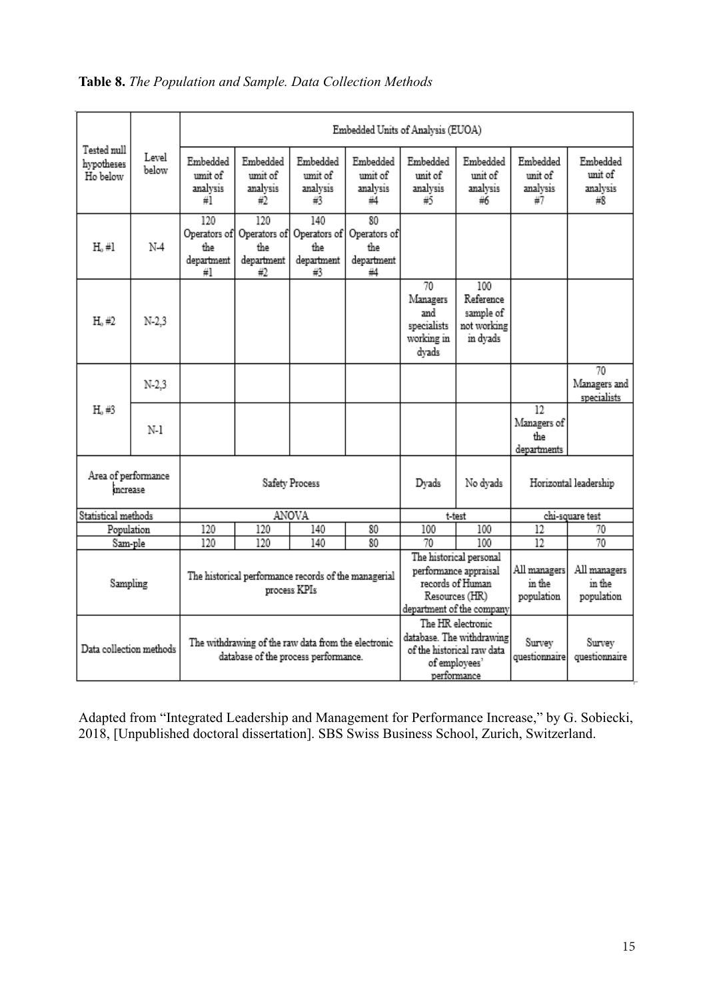|                                       |                | Embedded Units of Analysis (EUOA)                                                           |                                                                      |                                                |                                               |                                                             |                                                                                                                     |                                         |                                       |  |
|---------------------------------------|----------------|---------------------------------------------------------------------------------------------|----------------------------------------------------------------------|------------------------------------------------|-----------------------------------------------|-------------------------------------------------------------|---------------------------------------------------------------------------------------------------------------------|-----------------------------------------|---------------------------------------|--|
| Tested null<br>hypotheses<br>Ho below | Level<br>below | Embedded<br>umit of<br>analysis<br>#1                                                       | Embedded<br>umit of<br>analysis<br>#2                                | Embedded<br>umit of<br>analysis<br>#3          | Embedded<br>umit of<br>analysis<br>44         | Embedded<br>unit of<br>analysis<br>#5                       | Embedded<br>unit of<br>analysis<br>#6                                                                               | Embedded<br>unit of<br>analysis<br>#7   | Embedded<br>unit of<br>analysis<br>#8 |  |
| $H, \#I$                              | $N-4$          | 120<br>Operators of<br>the<br>department<br>#1                                              | 120<br>Operators of<br>the<br>department<br>#2                       | 140<br>Operators of<br>the<br>department<br>#3 | 80<br>Operators of<br>the<br>department<br>#4 |                                                             |                                                                                                                     |                                         |                                       |  |
| $H_0#2$                               | $N-2.3$        |                                                                                             |                                                                      |                                                |                                               | 70<br>Managers<br>and<br>specialists<br>working in<br>dyads | 100<br>Reference<br>sample of<br>not working<br>in dyads                                                            |                                         |                                       |  |
|                                       | $N-2.3$        |                                                                                             |                                                                      |                                                |                                               |                                                             |                                                                                                                     |                                         | 70<br>Managers and<br>specialists     |  |
| H <sub>0</sub> #3                     | N-1            |                                                                                             |                                                                      |                                                |                                               |                                                             |                                                                                                                     | 12<br>Managers of<br>the<br>departments |                                       |  |
| Area of performance<br>increase       |                |                                                                                             |                                                                      | Safety Process                                 |                                               | Dyads                                                       | No dyads                                                                                                            |                                         | Horizontal leadership                 |  |
| Statistical methods                   |                |                                                                                             | ANOVA                                                                |                                                | t-test                                        |                                                             | chi-square test                                                                                                     |                                         |                                       |  |
| Population                            |                | 120                                                                                         | 120                                                                  | 140                                            | 80                                            | 100                                                         | 100                                                                                                                 | 12                                      | 70                                    |  |
| Sam-ple                               |                | 120                                                                                         | 120                                                                  | 140                                            | 80                                            | 70                                                          | 100                                                                                                                 | $\overline{12}$                         | 70                                    |  |
| Sampling                              |                |                                                                                             | The historical performance records of the managerial<br>process KPIs |                                                |                                               |                                                             | The historical personal<br>performance appraisal<br>records of Human<br>Resources (HR)<br>department of the company | All managers<br>in the<br>population    | All managers<br>in the<br>population  |  |
| Data collection methods               |                | The withdrawing of the raw data from the electronic<br>database of the process performance. |                                                                      |                                                |                                               |                                                             | The HR electronic<br>database. The withdrawing<br>of the historical raw data<br>of employees'<br>performance        | Survey<br>questionnaire                 | Survey<br>questionnaire               |  |

# **Table 8.** *The Population and Sample. Data Collection Methods*

Adapted from "Integrated Leadership and Management for Performance Increase," by G. Sobiecki, 2018, [Unpublished doctoral dissertation]. SBS Swiss Business School, Zurich, Switzerland.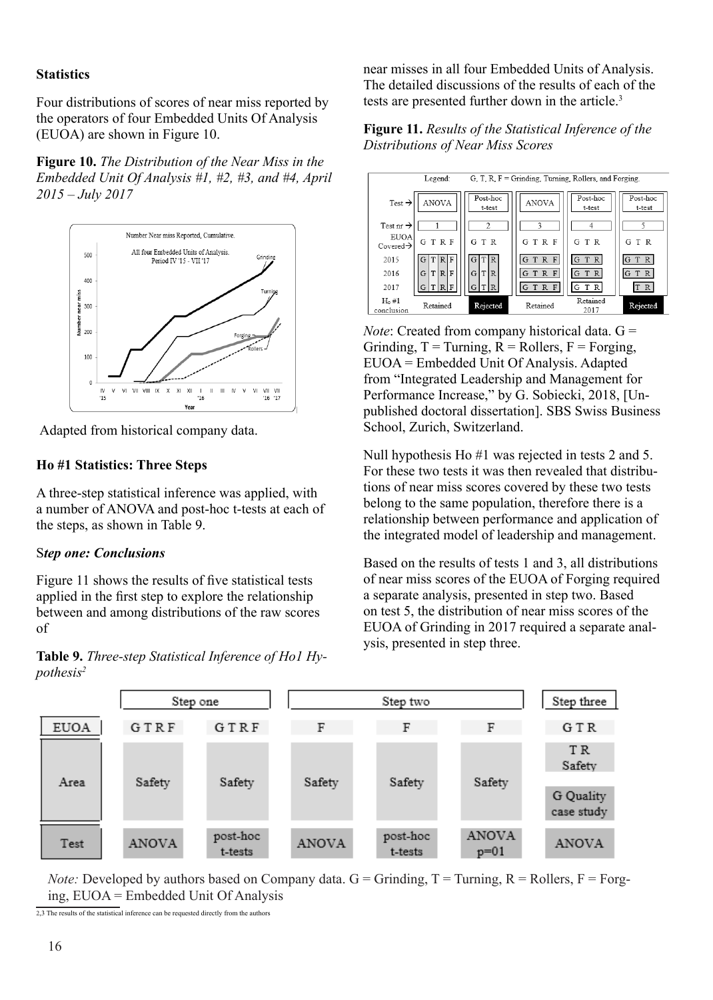#### **Statistics**

Four distributions of scores of near miss reported by the operators of four Embedded Units Of Analysis (EUOA) are shown in Figure 10.

**Figure 10.** *The Distribution of the Near Miss in the Embedded Unit Of Analysis #1, #2, #3, and #4, April 2015 – July 2017*



Adapted from historical company data.

#### **Ho #1 Statistics: Three Steps**

A three-step statistical inference was applied, with a number of ANOVA and post-hoc t-tests at each of the steps, as shown in Table 9.

#### S*tep one: Conclusions*

Figure 11 shows the results of five statistical tests applied in the first step to explore the relationship between and among distributions of the raw scores of

**Table 9.** *Three-step Statistical Inference of Ho1 Hypothesis2*

near misses in all four Embedded Units of Analysis. The detailed discussions of the results of each of the tests are presented further down in the article.<sup>3</sup>





*Note*: Created from company historical data. G = Grinding,  $T =$ Turning,  $R =$ Rollers,  $F =$ Forging, EUOA = Embedded Unit Of Analysis. Adapted from "Integrated Leadership and Management for Performance Increase," by G. Sobiecki, 2018, [Unpublished doctoral dissertation]. SBS Swiss Business School, Zurich, Switzerland.

Null hypothesis Ho #1 was rejected in tests 2 and 5. For these two tests it was then revealed that distributions of near miss scores covered by these two tests belong to the same population, therefore there is a relationship between performance and application of the integrated model of leadership and management.

Based on the results of tests 1 and 3, all distributions of near miss scores of the EUOA of Forging required a separate analysis, presented in step two. Based on test 5, the distribution of near miss scores of the EUOA of Grinding in 2017 required a separate analysis, presented in step three.



*Note:* Developed by authors based on Company data.  $G =$  Grinding,  $T =$  Turning,  $R =$  Rollers,  $F =$  Forging, EUOA = Embedded Unit Of Analysis

2,3 The results of the statistical inference can be requested directly from the authors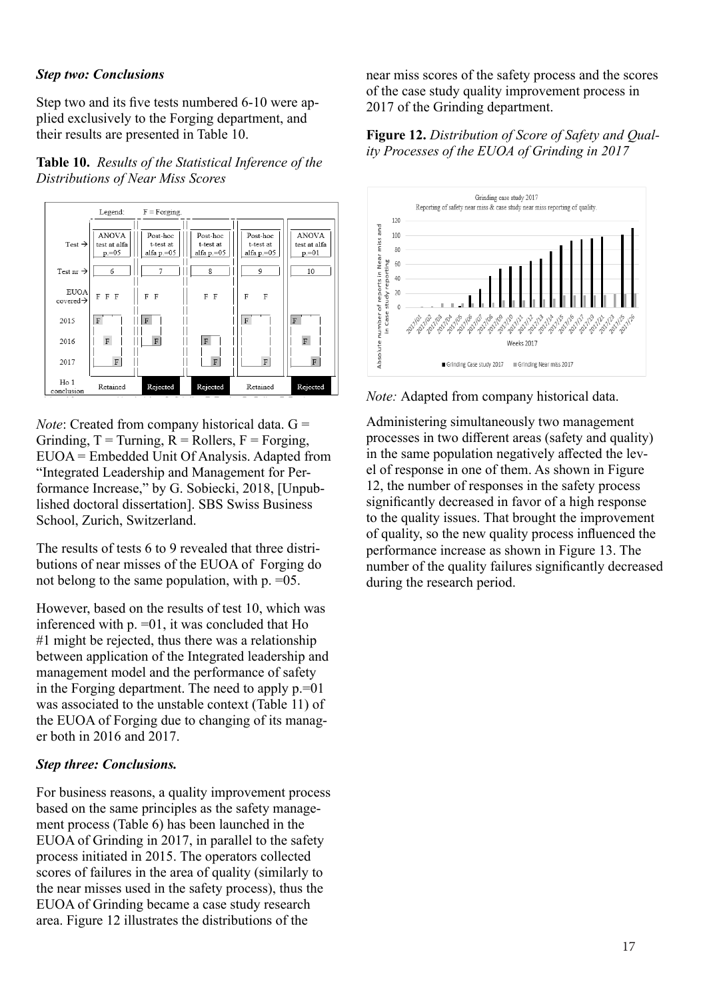#### *Step two: Conclusions*

Step two and its five tests numbered 6-10 were applied exclusively to the Forging department, and their results are presented in Table 10.

### **Table 10.** *Results of the Statistical Inference of the Distributions of Near Miss Scores*



*Note*: Created from company historical data. G = Grinding,  $T =$ Turning,  $R =$ Rollers,  $F =$ Forging, EUOA = Embedded Unit Of Analysis. Adapted from "Integrated Leadership and Management for Performance Increase," by G. Sobiecki, 2018, [Unpublished doctoral dissertation]. SBS Swiss Business School, Zurich, Switzerland.

The results of tests 6 to 9 revealed that three distributions of near misses of the EUOA of Forging do not belong to the same population, with p. =05.

However, based on the results of test 10, which was inferenced with p. =01, it was concluded that Ho #1 might be rejected, thus there was a relationship between application of the Integrated leadership and management model and the performance of safety in the Forging department. The need to apply  $p=01$ was associated to the unstable context (Table 11) of the EUOA of Forging due to changing of its manager both in 2016 and 2017.

#### *Step three: Conclusions.*

For business reasons, a quality improvement process based on the same principles as the safety management process (Table 6) has been launched in the EUOA of Grinding in 2017, in parallel to the safety process initiated in 2015. The operators collected scores of failures in the area of quality (similarly to the near misses used in the safety process), thus the EUOA of Grinding became a case study research area. Figure 12 illustrates the distributions of the

near miss scores of the safety process and the scores of the case study quality improvement process in 2017 of the Grinding department.

#### **Figure 12.** *Distribution of Score of Safety and Quality Processes of the EUOA of Grinding in 2017*



*Note:* Adapted from company historical data.

Administering simultaneously two management processes in two different areas (safety and quality) in the same population negatively affected the level of response in one of them. As shown in Figure 12, the number of responses in the safety process significantly decreased in favor of a high response to the quality issues. That brought the improvement of quality, so the new quality process influenced the performance increase as shown in Figure 13. The number of the quality failures significantly decreased during the research period.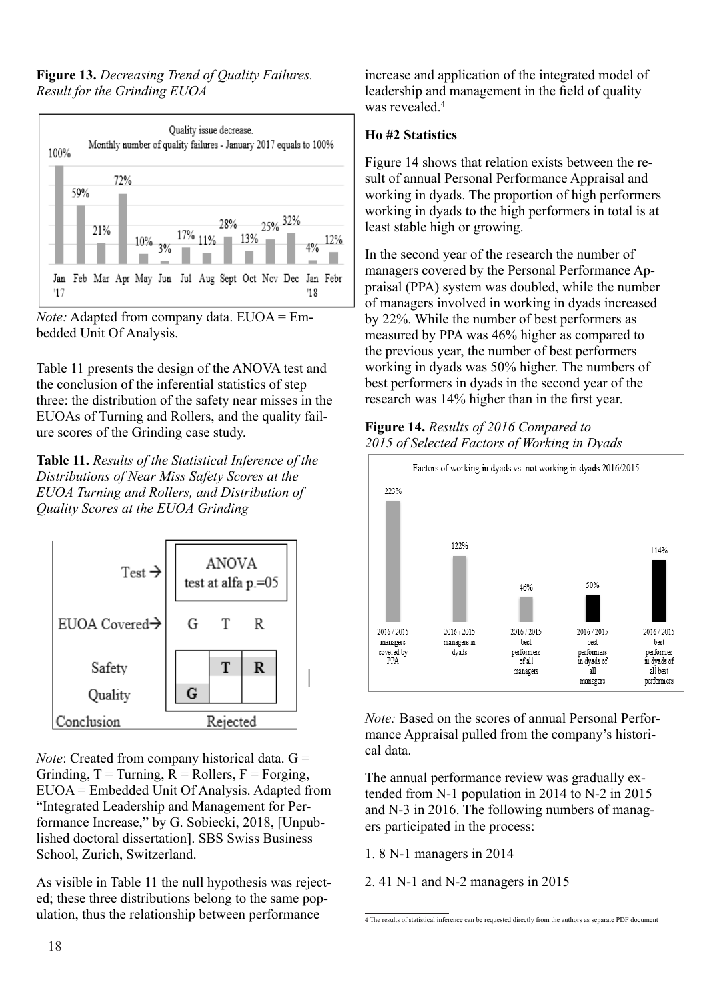**Figure 13.** *Decreasing Trend of Quality Failures. Result for the Grinding EUOA*



*Note:* Adapted from company data. EUOA = Embedded Unit Of Analysis.

Table 11 presents the design of the ANOVA test and the conclusion of the inferential statistics of step three: the distribution of the safety near misses in the EUOAs of Turning and Rollers, and the quality failure scores of the Grinding case study.

**Table 11.** *Results of the Statistical Inference of the Distributions of Near Miss Safety Scores at the EUOA Turning and Rollers, and Distribution of Quality Scores at the EUOA Grinding*



*Note*: Created from company historical data. G = Grinding,  $T =$  Turning,  $R =$  Rollers,  $F =$  Forging, EUOA = Embedded Unit Of Analysis. Adapted from "Integrated Leadership and Management for Performance Increase," by G. Sobiecki, 2018, [Unpublished doctoral dissertation]. SBS Swiss Business School, Zurich, Switzerland.

As visible in Table 11 the null hypothesis was rejected; these three distributions belong to the same population, thus the relationship between performance

increase and application of the integrated model of leadership and management in the field of quality was revealed.<sup>4</sup>

# **Ho #2 Statistics**

Figure 14 shows that relation exists between the result of annual Personal Performance Appraisal and working in dyads. The proportion of high performers working in dyads to the high performers in total is at least stable high or growing.

In the second year of the research the number of managers covered by the Personal Performance Appraisal (PPA) system was doubled, while the number of managers involved in working in dyads increased by 22%. While the number of best performers as measured by PPA was 46% higher as compared to the previous year, the number of best performers working in dyads was 50% higher. The numbers of best performers in dyads in the second year of the research was 14% higher than in the first year.

# **Figure 14.** *Results of 2016 Compared to 2015 of Selected Factors of Working in Dyads*



*Note:* Based on the scores of annual Personal Performance Appraisal pulled from the company's historical data.

The annual performance review was gradually extended from N-1 population in 2014 to N-2 in 2015 and N-3 in 2016. The following numbers of managers participated in the process:

1. 8 N-1 managers in 2014

2. 41 N-1 and N-2 managers in 2015

<sup>4</sup> The results of statistical inference can be requested directly from the authors as separate PDF document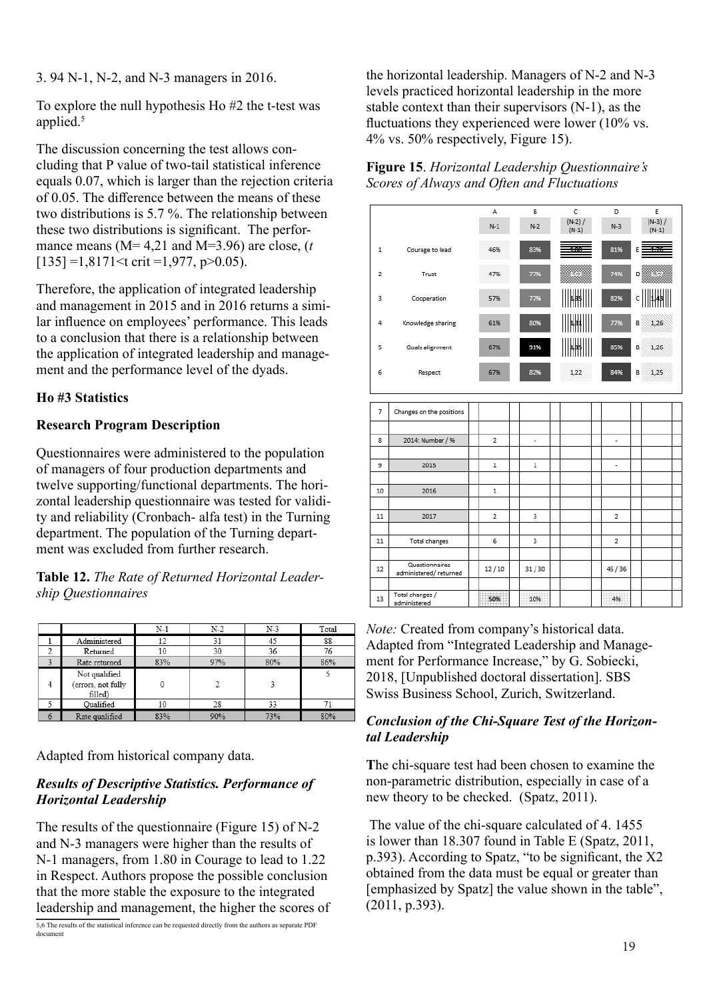3. 94 N-1, N-2, and N-3 managers in 2016.

To explore the null hypothesis Ho #2 the t-test was applied.<sup>5</sup>

The discussion concerning the test allows concluding that P value of two-tail statistical inference equals 0.07, which is larger than the rejection criteria of 0.05. The difference between the means of these two distributions is 5.7 %. The relationship between these two distributions is significant. The performance means (M= 4,21 and M=3.96) are close, (*t*)  $[135] = 1,8171 \le \text{crit} = 1,977, \text{ p} > 0.05$ .

Therefore, the application of integrated leadership and management in 2015 and in 2016 returns a similar influence on employees' performance. This leads to a conclusion that there is a relationship between the application of integrated leadership and management and the performance level of the dyads.

# **Ho #3 Statistics**

# **Research Program Description**

Questionnaires were administered to the population of managers of four production departments and twelve supporting/functional departments. The horizontal leadership questionnaire was tested for validity and reliability (Cronbach- alfa test) in the Turning department. The population of the Turning department was excluded from further research.

**Table 12.** *The Rate of Returned Horizontal Leadership Questionnaires*

|   |                               | $N-1$ | $N-2$ | N-3 | Total |
|---|-------------------------------|-------|-------|-----|-------|
|   | Administered                  | 12    | 31    | 45  | 88    |
| o | Returned                      | 10    | 30    | 36  | 76    |
| 2 | Rate returned                 | 83%   | 97%   | 80% | 86%   |
|   | Not qualified                 |       |       |     |       |
| 4 | (errors, not fully<br>filled) |       | 2     |     |       |
|   | Qualified                     | 10    | 28    | 33  | 71    |
| 6 | Rate qualified                | 83%   | 90%   | 73% | 80%   |

Adapted from historical company data.

# *Results of Descriptive Statistics. Performance of Horizontal Leadership*

The results of the questionnaire (Figure 15) of N-2 and N-3 managers were higher than the results of N-1 managers, from 1.80 in Courage to lead to 1.22 in Respect. Authors propose the possible conclusion that the more stable the exposure to the integrated leadership and management, the higher the scores of

5,6 The results of the statistical inference can be requested directly from the authors as separate PDF document

the horizontal leadership. Managers of N-2 and N-3 levels practiced horizontal leadership in the more stable context than their supervisors (N-1), as the fluctuations they experienced were lower (10% vs. 4% vs. 50% respectively, Figure 15).

| Figure 15. Horizontal Leadership Questionnaire's |  |
|--------------------------------------------------|--|
| Scores of Always and Often and Fluctuations      |  |



*Note:* Created from company's historical data. Adapted from "Integrated Leadership and Management for Performance Increase," by G. Sobiecki, 2018, [Unpublished doctoral dissertation]. SBS Swiss Business School, Zurich, Switzerland.

## *Conclusion of the Chi-Square Test of the Horizontal Leadership*

**T**he chi-square test had been chosen to examine the non-parametric distribution, especially in case of a new theory to be checked. (Spatz, 2011).

 The value of the chi-square calculated of 4. 1455 is lower than 18.307 found in Table E (Spatz, 2011, p.393). According to Spatz, "to be significant, the X2 obtained from the data must be equal or greater than [emphasized by Spatz] the value shown in the table", (2011, p.393).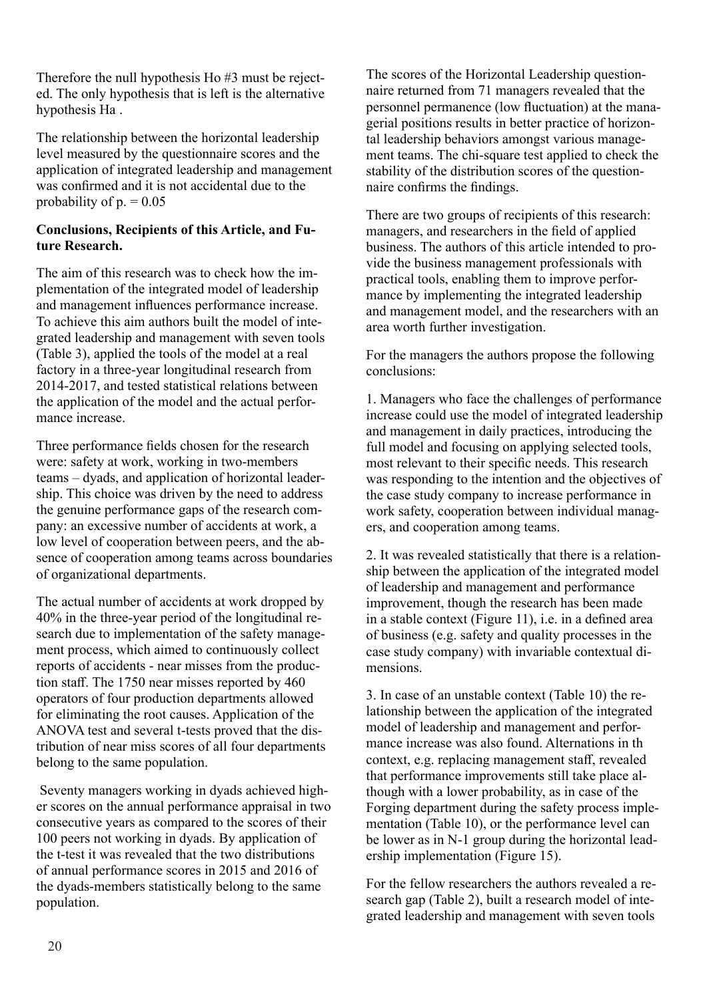Therefore the null hypothesis Ho #3 must be rejected. The only hypothesis that is left is the alternative hypothesis Ha .

The relationship between the horizontal leadership level measured by the questionnaire scores and the application of integrated leadership and management was confirmed and it is not accidental due to the probability of  $p = 0.05$ 

# **Conclusions, Recipients of this Article, and Future Research.**

The aim of this research was to check how the implementation of the integrated model of leadership and management influences performance increase. To achieve this aim authors built the model of integrated leadership and management with seven tools (Table 3), applied the tools of the model at a real factory in a three-year longitudinal research from 2014-2017, and tested statistical relations between the application of the model and the actual performance increase.

Three performance fields chosen for the research were: safety at work, working in two-members teams – dyads, and application of horizontal leadership. This choice was driven by the need to address the genuine performance gaps of the research company: an excessive number of accidents at work, a low level of cooperation between peers, and the absence of cooperation among teams across boundaries of organizational departments.

The actual number of accidents at work dropped by 40% in the three-year period of the longitudinal research due to implementation of the safety management process, which aimed to continuously collect reports of accidents - near misses from the production staff. The 1750 near misses reported by 460 operators of four production departments allowed for eliminating the root causes. Application of the ANOVA test and several t-tests proved that the distribution of near miss scores of all four departments belong to the same population.

 Seventy managers working in dyads achieved higher scores on the annual performance appraisal in two consecutive years as compared to the scores of their 100 peers not working in dyads. By application of the t-test it was revealed that the two distributions of annual performance scores in 2015 and 2016 of the dyads-members statistically belong to the same population.

The scores of the Horizontal Leadership questionnaire returned from 71 managers revealed that the personnel permanence (low fluctuation) at the managerial positions results in better practice of horizontal leadership behaviors amongst various management teams. The chi-square test applied to check the stability of the distribution scores of the questionnaire confirms the findings.

There are two groups of recipients of this research: managers, and researchers in the field of applied business. The authors of this article intended to provide the business management professionals with practical tools, enabling them to improve performance by implementing the integrated leadership and management model, and the researchers with an area worth further investigation.

For the managers the authors propose the following conclusions:

1. Managers who face the challenges of performance increase could use the model of integrated leadership and management in daily practices, introducing the full model and focusing on applying selected tools, most relevant to their specific needs. This research was responding to the intention and the objectives of the case study company to increase performance in work safety, cooperation between individual managers, and cooperation among teams.

2. It was revealed statistically that there is a relationship between the application of the integrated model of leadership and management and performance improvement, though the research has been made in a stable context (Figure 11), i.e. in a defined area of business (e.g. safety and quality processes in the case study company) with invariable contextual dimensions.

3. In case of an unstable context (Table 10) the relationship between the application of the integrated model of leadership and management and performance increase was also found. Alternations in th context, e.g. replacing management staff, revealed that performance improvements still take place although with a lower probability, as in case of the Forging department during the safety process implementation (Table 10), or the performance level can be lower as in N-1 group during the horizontal leadership implementation (Figure 15).

For the fellow researchers the authors revealed a research gap (Table 2), built a research model of integrated leadership and management with seven tools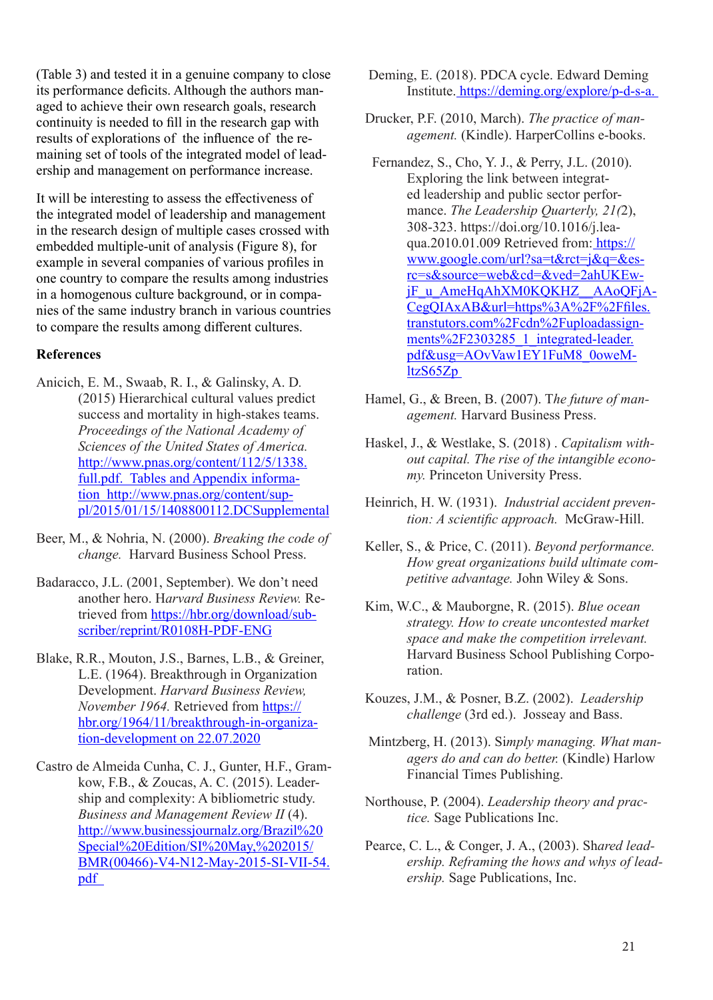(Table 3) and tested it in a genuine company to close its performance deficits. Although the authors managed to achieve their own research goals, research continuity is needed to fill in the research gap with results of explorations of the influence of the remaining set of tools of the integrated model of leadership and management on performance increase.

It will be interesting to assess the effectiveness of the integrated model of leadership and management in the research design of multiple cases crossed with embedded multiple-unit of analysis (Figure 8), for example in several companies of various profiles in one country to compare the results among industries in a homogenous culture background, or in companies of the same industry branch in various countries to compare the results among different cultures.

#### **References**

- Anicich, E. M., Swaab, R. I., & Galinsky, A. D*.*  (2015) Hierarchical cultural values predict success and mortality in high-stakes teams. *Proceedings of the National Academy of Sciences of the United States of America.*  http://www.pnas.org/content/112/5/1338. full.pdf. Tables and Appendix information http://www.pnas.org/content/suppl/2015/01/15/1408800112.DCSupplemental
- Beer, M., & Nohria, N. (2000). *Breaking the code of change.* Harvard Business School Press.
- Badaracco, J.L. (2001, September). We don't need another hero. H*arvard Business Review.* Retrieved from https://hbr.org/download/subscriber/reprint/R0108H-PDF-ENG
- Blake, R.R., Mouton, J.S., Barnes, L.B., & Greiner, L.E. (1964). Breakthrough in Organization Development. *Harvard Business Review, November 1964.* Retrieved from https:// hbr.org/1964/11/breakthrough-in-organization-development on 22.07.2020
- Castro de Almeida Cunha, C. J., Gunter, H.F., Gramkow, F.B., & Zoucas, A. C. (2015). Leadership and complexity: A bibliometric study. *Business and Management Review II* (4). http://www.businessjournalz.org/Brazil%20 Special%20Edition/SI%20May,%202015/ BMR(00466)-V4-N12-May-2015-SI-VII-54. pdf
- Deming, E. (2018). PDCA cycle. Edward Deming Institute. https://deming.org/explore/p-d-s-a.
- Drucker, P.F. (2010, March). *The practice of management.* (Kindle). HarperCollins e-books.
- Fernandez, S., Cho, Y. J., & Perry, J.L. (2010). Exploring the link between integrated leadership and public sector performance. *The Leadership Quarterly, 21(*2), 308-323. https://doi.org/10.1016/j.leaqua.2010.01.009 Retrieved from: https:// www.google.com/url?sa=t&rct=j&q=&esrc=s&source=web&cd=&ved=2ahUKEwjF\_u\_AmeHqAhXM0KQKHZ\_\_AAoQFjA-CegQIAxAB&url=https%3A%2F%2Ffiles. transtutors.com%2Fcdn%2Fuploadassignments%2F2303285\_1\_integrated-leader. pdf&usg=AOvVaw1EY1FuM8\_0oweMltzS65Zp
- Hamel, G., & Breen, B. (2007). T*he future of management.* Harvard Business Press.
- Haskel, J., & Westlake, S. (2018) . *Capitalism without capital. The rise of the intangible economy.* Princeton University Press.
- Heinrich, H. W. (1931). *Industrial accident prevention: A scientific approach.* McGraw-Hill.
- Keller, S., & Price, C. (2011). *Beyond performance. How great organizations build ultimate competitive advantage.* John Wiley & Sons.
- Kim, W.C., & Mauborgne, R. (2015). *Blue ocean strategy. How to create uncontested market space and make the competition irrelevant.* Harvard Business School Publishing Corporation.
- Kouzes, J.M., & Posner, B.Z. (2002). *Leadership challenge* (3rd ed.). Josseay and Bass.
- Mintzberg, H. (2013). Si*mply managing. What managers do and can do better.* (Kindle) Harlow Financial Times Publishing.
- Northouse, P. (2004). *Leadership theory and practice.* Sage Publications Inc.
- Pearce, C. L., & Conger, J. A., (2003). Sh*ared leadership. Reframing the hows and whys of leadership.* Sage Publications, Inc.